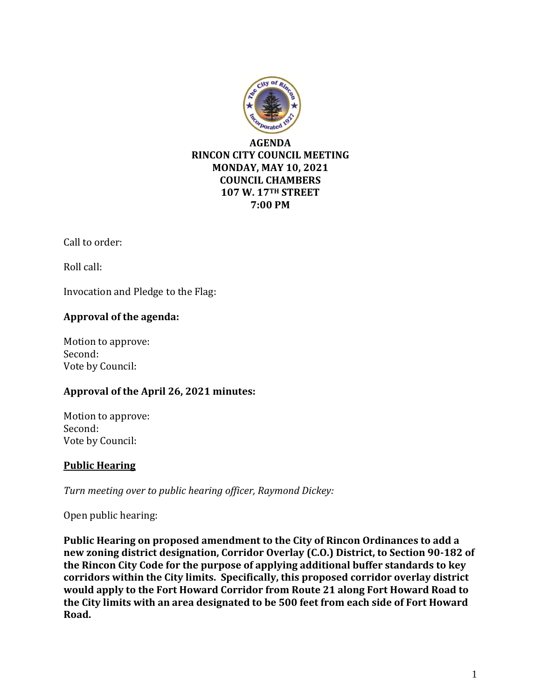

Call to order:

Roll call:

Invocation and Pledge to the Flag:

# **Approval of the agenda:**

Motion to approve: Second: Vote by Council:

# **Approval of the April 26, 2021 minutes:**

Motion to approve: Second: Vote by Council:

### **Public Hearing**

*Turn meeting over to public hearing officer, Raymond Dickey:*

Open public hearing:

**Public Hearing on proposed amendment to the City of Rincon Ordinances to add a new zoning district designation, Corridor Overlay (C.O.) District, to Section 90-182 of the Rincon City Code for the purpose of applying additional buffer standards to key corridors within the City limits. Specifically, this proposed corridor overlay district would apply to the Fort Howard Corridor from Route 21 along Fort Howard Road to the City limits with an area designated to be 500 feet from each side of Fort Howard Road.**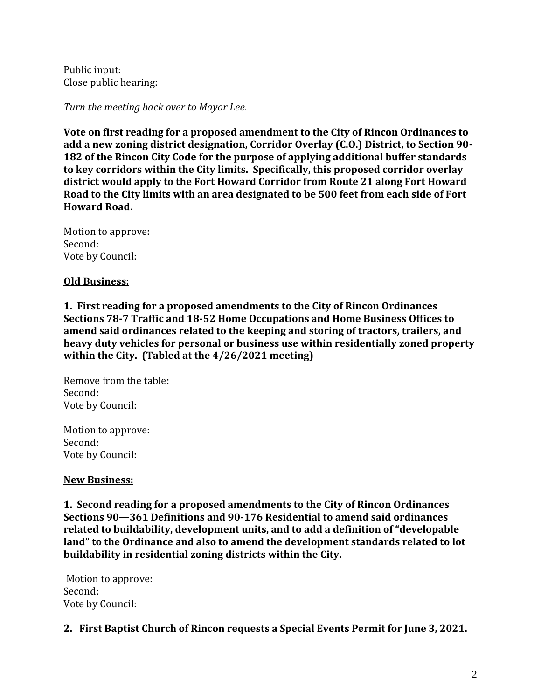Public input: Close public hearing:

*Turn the meeting back over to Mayor Lee.*

**Vote on first reading for a proposed amendment to the City of Rincon Ordinances to add a new zoning district designation, Corridor Overlay (C.O.) District, to Section 90- 182 of the Rincon City Code for the purpose of applying additional buffer standards to key corridors within the City limits. Specifically, this proposed corridor overlay district would apply to the Fort Howard Corridor from Route 21 along Fort Howard Road to the City limits with an area designated to be 500 feet from each side of Fort Howard Road.**

Motion to approve: Second: Vote by Council:

#### **Old Business:**

**1. First reading for a proposed amendments to the City of Rincon Ordinances Sections 78-7 Traffic and 18-52 Home Occupations and Home Business Offices to amend said ordinances related to the keeping and storing of tractors, trailers, and heavy duty vehicles for personal or business use within residentially zoned property within the City. (Tabled at the 4/26/2021 meeting)**

Remove from the table: Second: Vote by Council:

Motion to approve: Second: Vote by Council:

#### **New Business:**

**1. Second reading for a proposed amendments to the City of Rincon Ordinances Sections 90—361 Definitions and 90-176 Residential to amend said ordinances related to buildability, development units, and to add a definition of "developable land" to the Ordinance and also to amend the development standards related to lot buildability in residential zoning districts within the City.**

Motion to approve: Second: Vote by Council:

**2. First Baptist Church of Rincon requests a Special Events Permit for June 3, 2021.**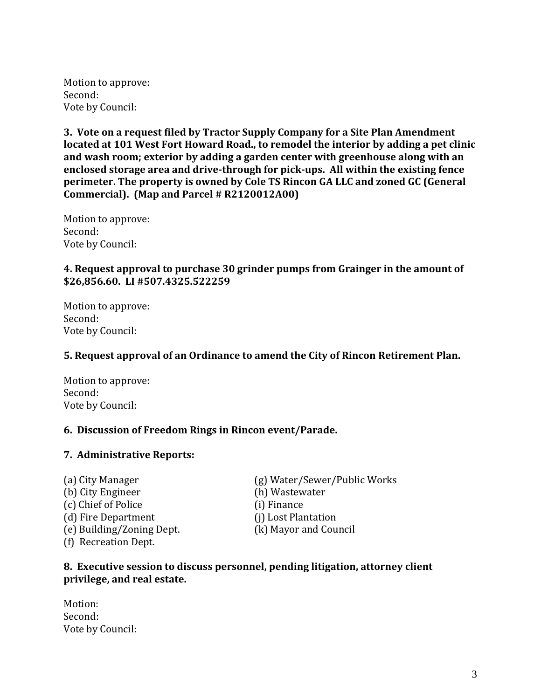Motion to approve: Second: Vote by Council:

**3. Vote on a request filed by Tractor Supply Company for a Site Plan Amendment located at 101 West Fort Howard Road., to remodel the interior by adding a pet clinic and wash room; exterior by adding a garden center with greenhouse along with an enclosed storage area and drive-through for pick-ups. All within the existing fence perimeter. The property is owned by Cole TS Rincon GA LLC and zoned GC (General Commercial). (Map and Parcel # R2120012A00)** 

Motion to approve: Second: Vote by Council:

## **4. Request approval to purchase 30 grinder pumps from Grainger in the amount of \$26,856.60. LI #507.4325.522259**

Motion to approve: Second: Vote by Council:

### **5. Request approval of an Ordinance to amend the City of Rincon Retirement Plan.**

Motion to approve: Second: Vote by Council:

### **6. Discussion of Freedom Rings in Rincon event/Parade.**

### **7. Administrative Reports:**

(b) City Engineer (h) Wastewater (c) Chief of Police (i) Finance (d) Fire Department (j) Lost Plantation (e) Building/Zoning Dept. (k) Mayor and Council (f) Recreation Dept.

(a) City Manager (g) Water/Sewer/Public Works

### **8. Executive session to discuss personnel, pending litigation, attorney client privilege, and real estate.**

Motion: Second: Vote by Council: